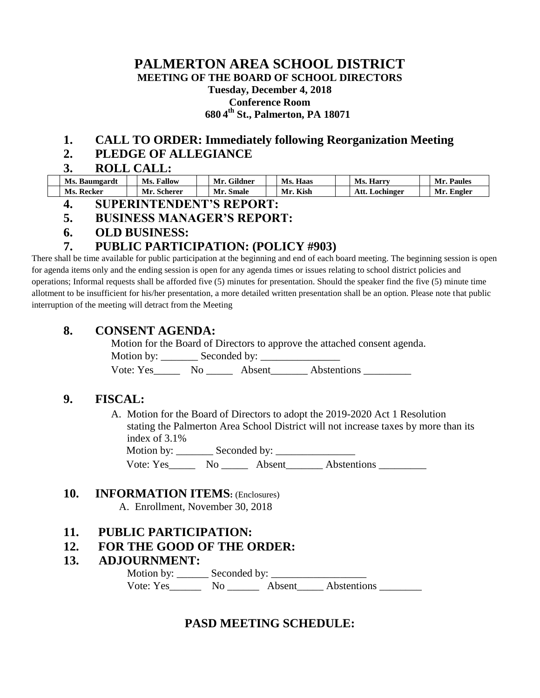#### **PALMERTON AREA SCHOOL DISTRICT MEETING OF THE BOARD OF SCHOOL DIRECTORS Tuesday, December 4, 2018 Conference Room 680 4 th St., Palmerton, PA 18071**

## **1. CALL TO ORDER: Immediately following Reorganization Meeting**

## **2. PLEDGE OF ALLEGIANCE**

#### **3. ROLL CALL:**

| Ms. Baumgardt | <b>Fallow</b><br>Ms. | Мr<br>Gildner | Haas<br>Ms. | Ms.<br>Harry    | Mr<br><b>Paules</b> |
|---------------|----------------------|---------------|-------------|-----------------|---------------------|
| Ms. Recker    | Mr<br>Scherer        | Smale         | Kish<br>Mr  | Lochinger<br>А. | Engler<br>Mr        |

# **4. SUPERINTENDENT'S REPORT:**

## **5. BUSINESS MANAGER'S REPORT:**

**6. OLD BUSINESS:**

# **7. PUBLIC PARTICIPATION: (POLICY #903)**

There shall be time available for public participation at the beginning and end of each board meeting. The beginning session is open for agenda items only and the ending session is open for any agenda times or issues relating to school district policies and operations; Informal requests shall be afforded five (5) minutes for presentation. Should the speaker find the five (5) minute time allotment to be insufficient for his/her presentation, a more detailed written presentation shall be an option. Please note that public interruption of the meeting will detract from the Meeting

# **8. CONSENT AGENDA:**

Motion for the Board of Directors to approve the attached consent agenda. Motion by: \_\_\_\_\_\_\_ Seconded by: \_\_\_\_\_\_\_\_\_\_\_\_\_\_\_ Vote: Yes No Absent Abstentions

# **9. FISCAL:**

A. Motion for the Board of Directors to adopt the 2019-2020 Act 1 Resolution stating the Palmerton Area School District will not increase taxes by more than its index of 3.1% Motion by: \_\_\_\_\_\_\_ Seconded by: \_\_\_\_\_\_\_\_\_\_\_\_\_\_\_

Vote: Yes Mo Absent Abstentions

## **10. INFORMATION ITEMS:** (Enclosures)

A. Enrollment, November 30, 2018

## **11. PUBLIC PARTICIPATION:**

## **12. FOR THE GOOD OF THE ORDER:**

#### **13. ADJOURNMENT:**

Motion by: \_\_\_\_\_\_\_\_\_\_ Seconded by: \_ Vote: Yes\_\_\_\_\_\_\_\_\_ No \_\_\_\_\_\_\_\_\_ Absent Abstentions

# **PASD MEETING SCHEDULE:**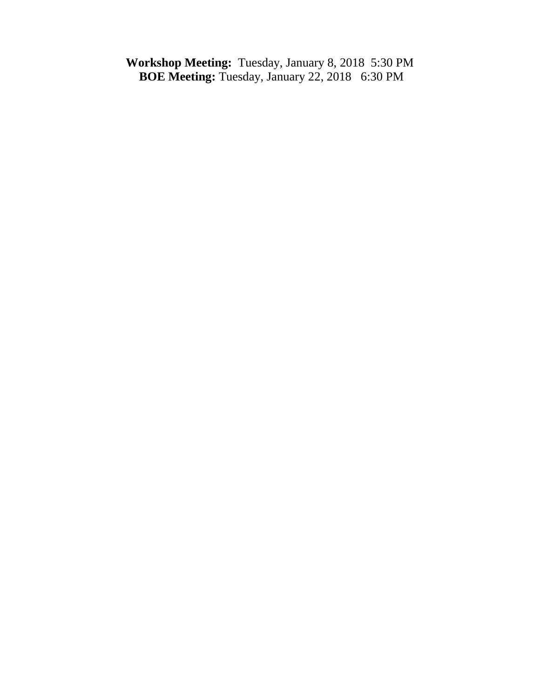**Workshop Meeting:** Tuesday, January 8, 2018 5:30 PM **BOE Meeting:** Tuesday, January 22, 20186:30 PM